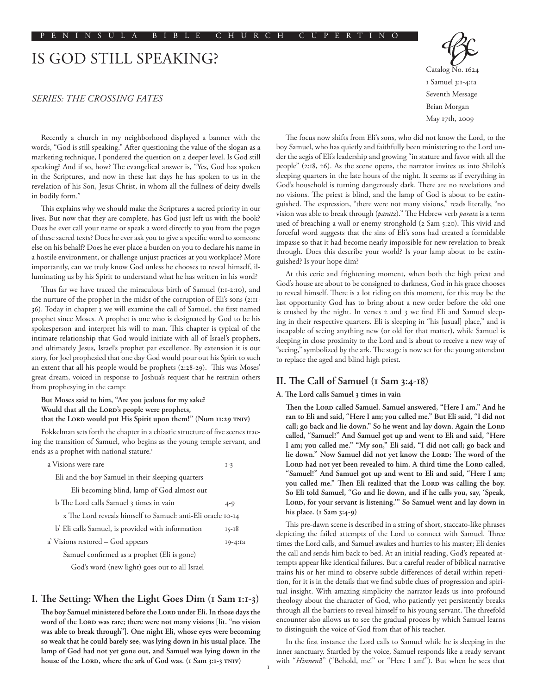# IS GOD STILL SPEAKING?

## *SERIES: THE CROSSING FATES*

Recently a church in my neighborhood displayed a banner with the words, "God is still speaking." After questioning the value of the slogan as a marketing technique, I pondered the question on a deeper level. Is God still speaking? And if so, how? The evangelical answer is, "Yes, God has spoken in the Scriptures, and now in these last days he has spoken to us in the revelation of his Son, Jesus Christ, in whom all the fullness of deity dwells in bodily form."

This explains why we should make the Scriptures a sacred priority in our lives. But now that they are complete, has God just left us with the book? Does he ever call your name or speak a word directly to you from the pages of these sacred texts? Does he ever ask you to give a specific word to someone else on his behalf? Does he ever place a burden on you to declare his name in a hostile environment, or challenge unjust practices at you workplace? More importantly, can we truly know God unless he chooses to reveal himself, illuminating us by his Spirit to understand what he has written in his word?

Thus far we have traced the miraculous birth of Samuel (1:1-2:10), and the nurture of the prophet in the midst of the corruption of Eli's sons (2:11- 36). Today in chapter 3 we will examine the call of Samuel, the first named prophet since Moses. A prophet is one who is designated by God to be his spokesperson and interpret his will to man. This chapter is typical of the intimate relationship that God would initiate with all of Israel's prophets, and ultimately Jesus, Israel's prophet par excellence. By extension it is our story, for Joel prophesied that one day God would pour out his Spirit to such an extent that all his people would be prophets (2:28-29). This was Moses' great dream, voiced in response to Joshua's request that he restrain others from prophesying in the camp:

**But Moses said to him, "Are you jealous for my sake?**  Would that all the LORD's people were prophets, that the LORD would put His Spirit upon them!" (Num 11:29 TNIV)

Fokkelman sets forth the chapter in a chiastic structure of five scenes tracing the transition of Samuel, who begins as the young temple servant, and ends as a prophet with national stature.<sup>1</sup>

| a Visions were rare                                         | $I-3$     |  |
|-------------------------------------------------------------|-----------|--|
| Eli and the boy Samuel in their sleeping quarters           |           |  |
| Eli becoming blind, lamp of God almost out                  |           |  |
| b The Lord calls Samuel 3 times in vain                     | $4 - 9$   |  |
| x The Lord reveals himself to Samuel: anti-Eli oracle 10-14 |           |  |
| b' Eli calls Samuel, is provided with information           | $15 - 18$ |  |
| a' Visions restored – God appears                           | 19-4:1a   |  |
| Samuel confirmed as a prophet (Eli is gone)                 |           |  |
| God's word (new light) goes out to all Israel               |           |  |

### **I. The Setting: When the Light Goes Dim (1 Sam 1:1-3)**

The boy Samuel ministered before the LORD under Eli. In those days the word of the Lord was rare; there were not many visions [lit. "no vision **was able to break through"]. One night Eli, whose eyes were becoming so weak that he could barely see, was lying down in his usual place. The lamp of God had not yet gone out, and Samuel was lying down in the**  house of the LORD, where the ark of God was. (1 Sam 3:1-3 TNIV)

Catalog No. 1624 1 Samuel 3:1-4:1a Seventh Message Brian Morgan May 17th, 2009

The focus now shifts from Eli's sons, who did not know the Lord, to the boy Samuel, who has quietly and faithfully been ministering to the Lord under the aegis of Eli's leadership and growing "in stature and favor with all the people" (2:18, 26). As the scene opens, the narrator invites us into Shiloh's sleeping quarters in the late hours of the night. It seems as if everything in God's household is turning dangerously dark. There are no revelations and no visions. The priest is blind, and the lamp of God is about to be extinguished. The expression, "there were not many visions," reads literally, "no vision was able to break through (*paratz*)." The Hebrew verb *paratz* is a term used of breaching a wall or enemy stronghold (2 Sam 5:20). This vivid and forceful word suggests that the sins of Eli's sons had created a formidable impasse so that it had become nearly impossible for new revelation to break through. Does this describe your world? Is your lamp about to be extinguished? Is your hope dim?

At this eerie and frightening moment, when both the high priest and God's house are about to be consigned to darkness, God in his grace chooses to reveal himself. There is a lot riding on this moment, for this may be the last opportunity God has to bring about a new order before the old one is crushed by the night. In verses 2 and 3 we find Eli and Samuel sleeping in their respective quarters. Eli is sleeping in "his [usual] place," and is incapable of seeing anything new (or old for that matter), while Samuel is sleeping in close proximity to the Lord and is about to receive a new way of "seeing," symbolized by the ark. The stage is now set for the young attendant to replace the aged and blind high priest.

# **II. The Call of Samuel (1 Sam 3:4-18)**

#### **A. The Lord calls Samuel 3 times in vain**

Then the Lord called Samuel. Samuel answered, "Here I am." And he **ran to Eli and said, "Here I am; you called me." But Eli said, "I did not**  call; go back and lie down." So he went and lay down. Again the LORD **called, "Samuel!" And Samuel got up and went to Eli and said, "Here I am; you called me." "My son," Eli said, "I did not call; go back and**  lie down." Now Samuel did not yet know the LORD: The word of the LORD had not yet been revealed to him. A third time the LORD called, **"Samuel!" And Samuel got up and went to Eli and said, "Here I am;**  you called me." Then Eli realized that the LORD was calling the boy. **So Eli told Samuel, "Go and lie down, and if he calls you, say, 'Speak,**  LORD, for your servant is listening." So Samuel went and lay down in **his place. (1 Sam 3:4-9)**

This pre-dawn scene is described in a string of short, staccato-like phrases depicting the failed attempts of the Lord to connect with Samuel. Three times the Lord calls, and Samuel awakes and hurries to his master; Eli denies the call and sends him back to bed. At an initial reading, God's repeated attempts appear like identical failures. But a careful reader of biblical narrative trains his or her mind to observe subtle differences of detail within repetition, for it is in the details that we find subtle clues of progression and spiritual insight. With amazing simplicity the narrator leads us into profound theology about the character of God, who patiently yet persistently breaks through all the barriers to reveal himself to his young servant. The threefold encounter also allows us to see the gradual process by which Samuel learns to distinguish the voice of God from that of his teacher.

In the first instance the Lord calls to Samuel while he is sleeping in the inner sanctuary. Startled by the voice, Samuel responds like a ready servant with "*Hinneni*!" ("Behold, me!" or "Here I am!"). But when he sees that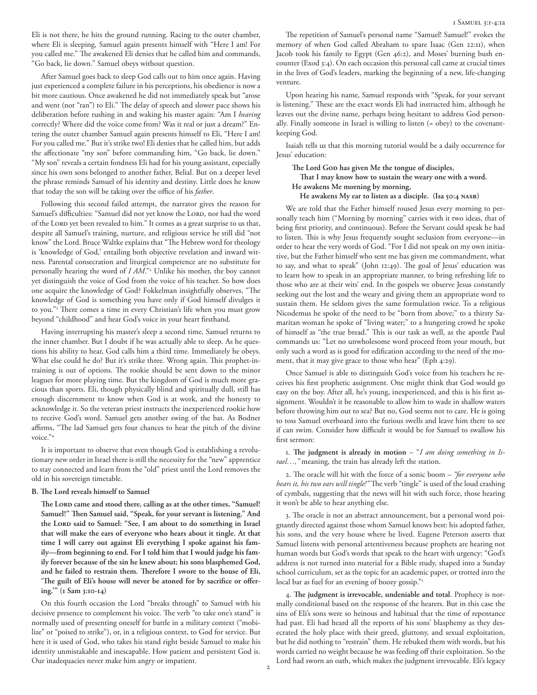Eli is not there, he hits the ground running. Racing to the outer chamber, where Eli is sleeping, Samuel again presents himself with "Here I am! For you called me." The awakened Eli denies that he called him and commands, "Go back, lie down." Samuel obeys without question.

After Samuel goes back to sleep God calls out to him once again. Having just experienced a complete failure in his perceptions, his obedience is now a bit more cautious. Once awakened he did not immediately speak but "arose and went (not "ran") to Eli." The delay of speech and slower pace shows his deliberation before rushing in and waking his master again: "Am I *hearing* correctly? Where did the voice come from? Was it real or just a dream?" Entering the outer chamber Samuel again presents himself to Eli, "Here I am! For you called me." But it's strike two! Eli denies that he called him, but adds the affectionate "my son" before commanding him, "Go back, lie down." "My son" reveals a certain fondness Eli had for his young assistant, especially since his own sons belonged to another father, Belial. But on a deeper level the phrase reminds Samuel of his identity and destiny. Little does he know that today the son will be taking over the office of his *father*.

Following this second failed attempt, the narrator gives the reason for Samuel's difficulties: "Samuel did not yet know the LORD, nor had the word of the LORD yet been revealed to him." It comes as a great surprise to us that, despite all Samuel's training, nurture, and religious service he still did "not know" the Lord. Bruce Waltke explains that "The Hebrew word for theology is 'knowledge of God,' entailing both objective revelation and inward witness. Parental consecration and liturgical competence are no substitute for personally hearing the word of *I AM*."2 Unlike his mother, the boy cannot yet distinguish the voice of God from the voice of his teacher. So how does one acquire the knowledge of God? Fokkelman insightfully observes, "The knowledge of God is something you have only if God himself divulges it to you."3 There comes a time in every Christian's life when you must grow beyond "childhood" and hear God's voice in your heart firsthand.

Having interrupting his master's sleep a second time, Samuel returns to the inner chamber. But I doubt if he was actually able to sleep. As he questions his ability to hear, God calls him a third time. Immediately he obeys. What else could he do? But it's strike three. Wrong again. This prophet-intraining is out of options. The rookie should be sent down to the minor leagues for more playing time. But the kingdom of God is much more gracious than sports. Eli, though physically blind and spiritually dull, still has enough discernment to know when God is at work, and the honesty to acknowledge it. So the veteran priest instructs the inexperienced rookie how to receive God's word. Samuel gets another swing of the bat. As Bodner affirms, "The lad Samuel gets four chances to hear the pitch of the divine voice $^{\prime\prime}$ <sup>4</sup>

It is important to observe that even though God is establishing a revolutionary new order in Israel there is still the necessity for the "new" apprentice to stay connected and learn from the "old" priest until the Lord removes the old in his sovereign timetable.

#### **B. The Lord reveals himself to Samuel**

The Lord came and stood there, calling as at the other times, "Samuel! **Samuel!" Then Samuel said, "Speak, for your servant is listening." And**  the Lord said to Samuel: "See, I am about to do something in Israel **that will make the ears of everyone who hears about it tingle. At that time I will carry out against Eli everything I spoke against his family—from beginning to end. For I told him that I would judge his family forever because of the sin he knew about; his sons blasphemed God, and he failed to restrain them. Therefore I swore to the house of Eli, 'The guilt of Eli's house will never be atoned for by sacrifice or offering.'" (1 Sam 3:10-14)**

On this fourth occasion the Lord "breaks through" to Samuel with his decisive presence to complement his voice. The verb "to take one's stand" is normally used of presenting oneself for battle in a military context ("mobilize" or "poised to strike"), or, in a religious context, to God for service. But here it is used of God, who takes his stand right beside Samuel to make his identity unmistakable and inescapable. How patient and persistent God is. Our inadequacies never make him angry or impatient.

The repetition of Samuel's personal name "Samuel! Samuel!" evokes the memory of when God called Abraham to spare Isaac (Gen 22:11), when Jacob took his family to Egypt (Gen 46:2), and Moses' burning bush encounter (Exod 3:4). On each occasion this personal call came at crucial times in the lives of God's leaders, marking the beginning of a new, life-changing venture.

Upon hearing his name, Samuel responds with "Speak, for your servant is listening." These are the exact words Eli had instructed him, although he leaves out the divine name, perhaps being hesitant to address God personally. Finally someone in Israel is willing to listen (= obey) to the covenantkeeping God.

Isaiah tells us that this morning tutorial would be a daily occurrence for Jesus' education:

The Lord Go**D** has given Me the tongue of disciples,

#### **That I may know how to sustain the weary one with a word. He awakens Me morning by morning,**

#### **He awakens My ear to listen as a disciple. (Isa 50:4 nasb)**

We are told that the Father himself roused Jesus every morning to personally teach him ("Morning by morning" carries with it two ideas, that of being first priority, and continuous). Before the Servant could speak he had to listen. This is why Jesus frequently sought seclusion from everyone—in order to hear the very words of God. "For I did not speak on my own initiative, but the Father himself who sent me has given me commandment, what to say, and what to speak" (John 12:49). The goal of Jesus' education was to learn how to speak in an appropriate manner, to bring refreshing life to those who are at their wits' end. In the gospels we observe Jesus constantly seeking out the lost and the weary and giving them an appropriate word to sustain them. He seldom gives the same formulation twice. To a religious Nicodemus he spoke of the need to be "born from above;" to a thirsty Samaritan woman he spoke of "living water;" to a hungering crowd he spoke of himself as "the true bread." This is our task as well, as the apostle Paul commands us: "Let no unwholesome word proceed from your mouth, but only such a word as is good for edification according to the need of the moment, that it may give grace to those who hear" (Eph 4:29).

Once Samuel is able to distinguish God's voice from his teachers he receives his first prophetic assignment. One might think that God would go easy on the boy. After all, he's young, inexperienced, and this is his first assignment. Wouldn't it be reasonable to allow him to wade in shallow waters before throwing him out to sea? But no, God seems not to care. He is going to toss Samuel overboard into the furious swells and leave him there to see if can swim. Consider how difficult it would be for Samuel to swallow his first sermon:

1. **The judgment is already in motion** – "*I am doing something in Israel…,"* meaning, the train has already left the station.

2. The oracle will hit with the force of a sonic boom – *"for everyone who hears it, his two ears will tingle!"* The verb "tingle" is used of the loud crashing of cymbals, suggesting that the news will hit with such force, those hearing it won't be able to hear anything else.

3. The oracle is not an abstract announcement, but a personal word poignantly directed against those whom Samuel knows best: his adopted father, his sons, and the very house where he lived. Eugene Peterson asserts that Samuel listens with personal attentiveness because prophets are hearing not human words but God's words that speak to the heart with urgency: "God's address is not turned into material for a Bible study, shaped into a Sunday school curriculum, set as the topic for an academic paper, or trotted into the local bar as fuel for an evening of boozy gossip."5

4. **The judgment is irrevocable, undeniable and total**. Prophecy is normally conditional based on the response of the hearers. But in this case the sins of Eli's sons were so heinous and habitual that the time of repentance had past. Eli had heard all the reports of his sons' blasphemy as they desecrated the holy place with their greed, gluttony, and sexual exploitation, but he did nothing to "restrain" them. He rebuked them with words, but his words carried no weight because he was feeding off their exploitation. So the Lord had sworn an oath, which makes the judgment irrevocable. Eli's legacy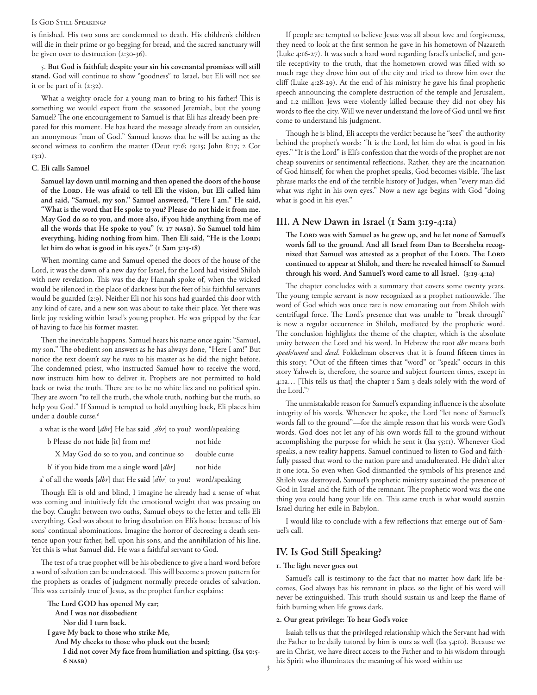#### Is God Still Speaking?

is finished. His two sons are condemned to death. His children's children will die in their prime or go begging for bread, and the sacred sanctuary will be given over to destruction (2:30-36).

5. **But God is faithful; despite your sin his covenantal promises will still stand.** God will continue to show "goodness" to Israel, but Eli will not see it or be part of it (2:32).

What a weighty oracle for a young man to bring to his father! This is something we would expect from the seasoned Jeremiah, but the young Samuel? The one encouragement to Samuel is that Eli has already been prepared for this moment. He has heard the message already from an outsider, an anonymous "man of God." Samuel knows that he will be acting as the second witness to confirm the matter (Deut 17:6; 19:15; John 8:17; 2 Cor 13:1).

#### **C. Eli calls Samuel**

**Samuel lay down until morning and then opened the doors of the house of the Lord. He was afraid to tell Eli the vision, but Eli called him and said, "Samuel, my son." Samuel answered, "Here I am." He said, "What is the word that He spoke to you? Please do not hide it from me. May God do so to you, and more also, if you hide anything from me of**  all the words that He spoke to you" (v. 17 NASB). So Samuel told him everything, hiding nothing from him. Then Eli said, "He is the LORD; **let him do what is good in his eyes." (1 Sam 3:15-18)**

When morning came and Samuel opened the doors of the house of the Lord, it was the dawn of a new day for Israel, for the Lord had visited Shiloh with new revelation. This was the day Hannah spoke of, when the wicked would be silenced in the place of darkness but the feet of his faithful servants would be guarded (2:9). Neither Eli nor his sons had guarded this door with any kind of care, and a new son was about to take their place. Yet there was little joy residing within Israel's young prophet. He was gripped by the fear of having to face his former master.

Then the inevitable happens. Samuel hears his name once again: "Samuel, my son." The obedient son answers as he has always done, "Here I am!" But notice the text doesn't say he *runs* to his master as he did the night before. The condemned priest, who instructed Samuel how to receive the word, now instructs him how to deliver it. Prophets are not permitted to hold back or twist the truth. There are to be no white lies and no political spin. They are sworn "to tell the truth, the whole truth, nothing but the truth, so help you God." If Samuel is tempted to hold anything back, Eli places him under a double curse.<sup>6</sup>

a what is the **word** [*dbr*] He has **said** [*dbr*] to you? word/speaking

| b Please do not hide [it] from me!         | not hide     |
|--------------------------------------------|--------------|
| X May God do so to you, and continue so    | double curse |
| b' if you hide from me a single word [dbr] | not hide     |

a' of all the **words** [*dbr*] that He **said** [*dbr*] to you! word/speaking

Though Eli is old and blind, I imagine he already had a sense of what was coming and intuitively felt the emotional weight that was pressing on the boy. Caught between two oaths, Samuel obeys to the letter and tells Eli everything. God was about to bring desolation on Eli's house because of his sons' continual abominations. Imagine the horror of decreeing a death sentence upon your father, hell upon his sons, and the annihilation of his line. Yet this is what Samuel did. He was a faithful servant to God.

The test of a true prophet will be his obedience to give a hard word before a word of salvation can be understood. This will become a proven pattern for the prophets as oracles of judgment normally precede oracles of salvation. This was certainly true of Jesus, as the prophet further explains:

**The Lord GOD has opened My ear;** 

 **And I was not disobedient** 

 **Nor did I turn back.** 

**I gave My back to those who strike Me,** 

 **And My cheeks to those who pluck out the beard;** 

 **I did not cover My face from humiliation and spitting. (Isa 50:5- 6 nasb)**

If people are tempted to believe Jesus was all about love and forgiveness, they need to look at the first sermon he gave in his hometown of Nazareth (Luke 4:16-27). It was such a hard word regarding Israel's unbelief, and gentile receptivity to the truth, that the hometown crowd was filled with so much rage they drove him out of the city and tried to throw him over the cliff (Luke 4:28-29). At the end of his ministry he gave his final prophetic speech announcing the complete destruction of the temple and Jerusalem, and 1.2 million Jews were violently killed because they did not obey his words to flee the city. Will we never understand the love of God until we first come to understand his judgment.

Though he is blind, Eli accepts the verdict because he "sees" the authority behind the prophet's words: "It is the Lord, let him do what is good in his eyes." "It is the Lord" is Eli's confession that the words of the prophet are not cheap souvenirs or sentimental reflections. Rather, they are the incarnation of God himself, for when the prophet speaks, God becomes visible. The last phrase marks the end of the terrible history of Judges, when "every man did what was right in his own eyes." Now a new age begins with God "doing what is good in his eyes."

# **III. A New Dawn in Israel (1 Sam 3:19-4:1a)**

The Lord was with Samuel as he grew up, and he let none of Samuel's **words fall to the ground. And all Israel from Dan to Beersheba recog**nized that Samuel was attested as a prophet of the LORD. The LORD **continued to appear at Shiloh, and there he revealed himself to Samuel through his word. And Samuel's word came to all Israel. (3:19-4:1a)**

The chapter concludes with a summary that covers some twenty years. The young temple servant is now recognized as a prophet nationwide. The word of God which was once rare is now emanating out from Shiloh with centrifugal force. The Lord's presence that was unable to "break through" is now a regular occurrence in Shiloh, mediated by the prophetic word. The conclusion highlights the theme of the chapter, which is the absolute unity between the Lord and his word. In Hebrew the root *dbr* means both *speak/word* and *deed*. Fokkelman observes that it is found **fifteen** times in this story: "Out of the fifteen times that "word" or "speak" occurs in this story Yahweh is, therefore, the source and subject fourteen times, except in 4:1a… [This tells us that] the chapter 1 Sam 3 deals solely with the word of the Lord."7

The unmistakable reason for Samuel's expanding influence is the absolute integrity of his words. Whenever he spoke, the Lord "let none of Samuel's words fall to the ground"––for the simple reason that his words were God's words. God does not let any of his own words fall to the ground without accomplishing the purpose for which he sent it (Isa 55:11). Whenever God speaks, a new reality happens. Samuel continued to listen to God and faithfully passed that word to the nation pure and unadulterated. He didn't alter it one iota. So even when God dismantled the symbols of his presence and Shiloh was destroyed, Samuel's prophetic ministry sustained the presence of God in Israel and the faith of the remnant. The prophetic word was the one thing you could hang your life on. This same truth is what would sustain Israel during her exile in Babylon.

I would like to conclude with a few reflections that emerge out of Samuel's call.

# **IV. Is God Still Speaking?**

#### **1. The light never goes out**

Samuel's call is testimony to the fact that no matter how dark life becomes, God always has his remnant in place, so the light of his word will never be extinguished. This truth should sustain us and keep the flame of faith burning when life grows dark.

# **2. Our great privilege: To hear God's voice**

Isaiah tells us that the privileged relationship which the Servant had with the Father to be daily tutored by him is ours as well (Isa 54:10). Because we are in Christ, we have direct access to the Father and to his wisdom through his Spirit who illuminates the meaning of his word within us: